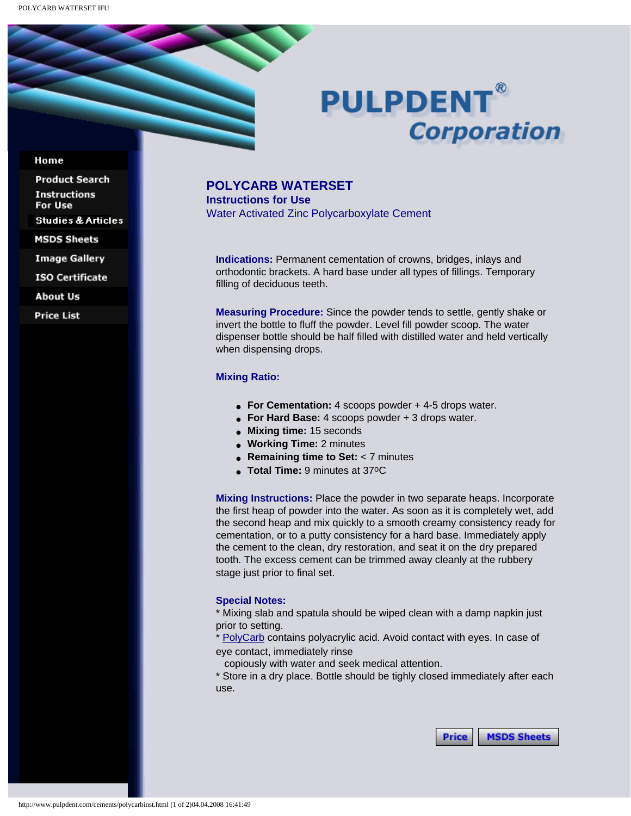# **PULPDENT® Corporation**

### Home

**Product Search Instructions** For Use **Studies & Articles** 

**MSDS Sheets** 

**Image Gallery** 

**ISO Certificate** 

**About Us** 

**Price List** 

## **POLYCARB WATERSET**

**Instructions for Use**  Water Activated Zinc Polycarboxylate Cement

**Indications:** Permanent cementation of crowns, bridges, inlays and orthodontic brackets. A hard base under all types of fillings. Temporary filling of deciduous teeth.

**Measuring Procedure:** Since the powder tends to settle, gently shake or invert the bottle to fluff the powder. Level fill powder scoop. The water dispenser bottle should be half filled with distilled water and held vertically when dispensing drops.

## **Mixing Ratio:**

- **For Cementation:** 4 scoops powder + 4-5 drops water.
- **For Hard Base:** 4 scoops powder + 3 drops water.
- **Mixing time:** 15 seconds
- **Working Time:** 2 minutes
- **Remaining time to Set:** < 7 minutes
- **Total Time:** 9 minutes at 37oC

**Mixing Instructions:** Place the powder in two separate heaps. Incorporate the first heap of powder into the water. As soon as it is completely wet, add the second heap and mix quickly to a smooth creamy consistency ready for cementation, or to a putty consistency for a hard base. Immediately apply the cement to the clean, dry restoration, and seat it on the dry prepared tooth. The excess cement can be trimmed away cleanly at the rubbery stage just prior to final set.

#### **Special Notes:**

\* Mixing slab and spatula should be wiped clean with a damp napkin just prior to setting.

\* [PolyCarb](http://www.pulpdent.com/cements/polycarb.html) contains polyacrylic acid. Avoid contact with eyes. In case of eye contact, immediately rinse

copiously with water and seek medical attention.

\* Store in a dry place. Bottle should be tighly closed immediately after each use.